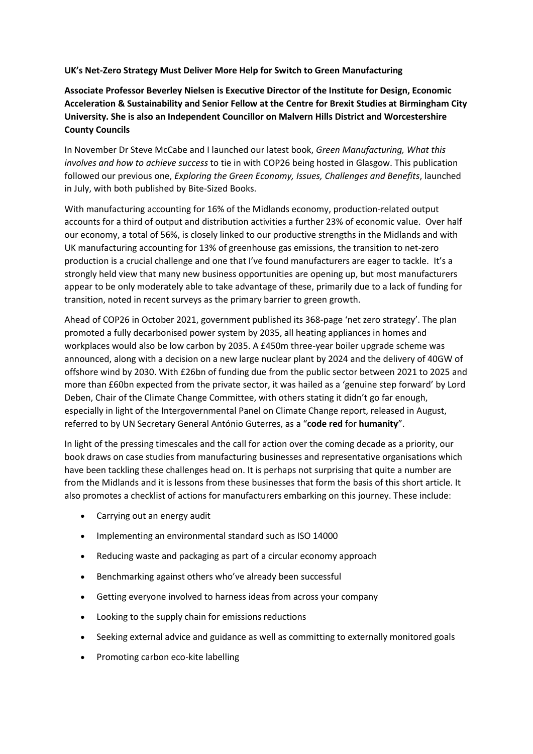**UK's Net-Zero Strategy Must Deliver More Help for Switch to Green Manufacturing**

**Associate Professor Beverley Nielsen is Executive Director of the Institute for Design, Economic Acceleration & Sustainability and Senior Fellow at the Centre for Brexit Studies at Birmingham City University. She is also an Independent Councillor on Malvern Hills District and Worcestershire County Councils**

In November Dr Steve McCabe and I launched our latest book, *Green Manufacturing, What this involves and how to achieve success* to tie in with COP26 being hosted in Glasgow. This publication followed our previous one, *Exploring the Green Economy, Issues, Challenges and Benefits*, launched in July, with both published by Bite-Sized Books.

With manufacturing accounting for 16% of the Midlands economy, production-related output accounts for a third of output and distribution activities a further 23% of economic value. Over half our economy, a total of 56%, is closely linked to our productive strengths in the Midlands and with UK manufacturing accounting for 13% of greenhouse gas emissions, the transition to net-zero production is a crucial challenge and one that I've found manufacturers are eager to tackle. It's a strongly held view that many new business opportunities are opening up, but most manufacturers appear to be only moderately able to take advantage of these, primarily due to a lack of funding for transition, noted in recent surveys as the primary barrier to green growth.

Ahead of COP26 in October 2021, government published its 368-page 'net zero strategy'. The plan promoted a fully decarbonised power system by 2035, all heating appliances in homes and workplaces would also be low carbon by 2035. A £450m three-year boiler upgrade scheme was announced, along with a decision on a new large nuclear plant by 2024 and the delivery of 40GW of offshore wind by 2030. With £26bn of funding due from the public sector between 2021 to 2025 and more than £60bn expected from the private sector, it was hailed as a 'genuine step forward' by Lord Deben, Chair of the Climate Change Committee, with others stating it didn't go far enough, especially in light of the Intergovernmental Panel on Climate Change report, released in August, referred to by UN Secretary General António Guterres, as a "**code red** for **humanity**".

In light of the pressing timescales and the call for action over the coming decade as a priority, our book draws on case studies from manufacturing businesses and representative organisations which have been tackling these challenges head on. It is perhaps not surprising that quite a number are from the Midlands and it is lessons from these businesses that form the basis of this short article. It also promotes a checklist of actions for manufacturers embarking on this journey. These include:

- Carrying out an energy audit
- Implementing an environmental standard such as ISO 14000
- Reducing waste and packaging as part of a circular economy approach
- Benchmarking against others who've already been successful
- Getting everyone involved to harness ideas from across your company
- Looking to the supply chain for emissions reductions
- Seeking external advice and guidance as well as committing to externally monitored goals
- Promoting carbon eco-kite labelling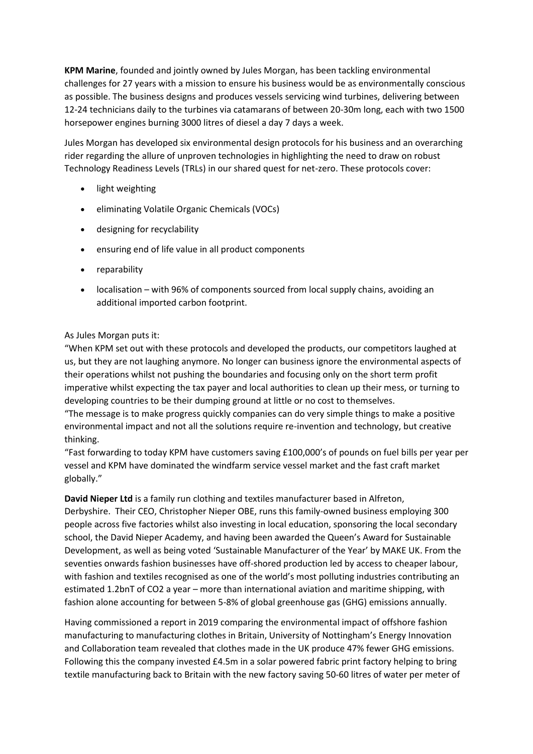**KPM Marine**, founded and jointly owned by Jules Morgan, has been tackling environmental challenges for 27 years with a mission to ensure his business would be as environmentally conscious as possible. The business designs and produces vessels servicing wind turbines, delivering between 12-24 technicians daily to the turbines via catamarans of between 20-30m long, each with two 1500 horsepower engines burning 3000 litres of diesel a day 7 days a week.

Jules Morgan has developed six environmental design protocols for his business and an overarching rider regarding the allure of unproven technologies in highlighting the need to draw on robust Technology Readiness Levels (TRLs) in our shared quest for net-zero. These protocols cover:

- light weighting
- eliminating Volatile Organic Chemicals (VOCs)
- designing for recyclability
- ensuring end of life value in all product components
- reparability
- localisation with 96% of components sourced from local supply chains, avoiding an additional imported carbon footprint.

## As Jules Morgan puts it:

"When KPM set out with these protocols and developed the products, our competitors laughed at us, but they are not laughing anymore. No longer can business ignore the environmental aspects of their operations whilst not pushing the boundaries and focusing only on the short term profit imperative whilst expecting the tax payer and local authorities to clean up their mess, or turning to developing countries to be their dumping ground at little or no cost to themselves.

"The message is to make progress quickly companies can do very simple things to make a positive environmental impact and not all the solutions require re-invention and technology, but creative thinking.

"Fast forwarding to today KPM have customers saving £100,000's of pounds on fuel bills per year per vessel and KPM have dominated the windfarm service vessel market and the fast craft market globally."

**David Nieper Ltd** is a family run clothing and textiles manufacturer based in Alfreton, Derbyshire. Their CEO, Christopher Nieper OBE, runs this family-owned business employing 300 people across five factories whilst also investing in local education, sponsoring the local secondary school, the David Nieper Academy, and having been awarded the Queen's Award for Sustainable Development, as well as being voted 'Sustainable Manufacturer of the Year' by MAKE UK. From the seventies onwards fashion businesses have off-shored production led by access to cheaper labour, with fashion and textiles recognised as one of the world's most polluting industries contributing an estimated 1.2bnT of CO2 a year – more than international aviation and maritime shipping, with fashion alone accounting for between 5-8% of global greenhouse gas (GHG) emissions annually.

Having commissioned a report in 2019 comparing the environmental impact of offshore fashion manufacturing to manufacturing clothes in Britain, University of Nottingham's Energy Innovation and Collaboration team revealed that clothes made in the UK produce 47% fewer GHG emissions. Following this the company invested £4.5m in a solar powered fabric print factory helping to bring textile manufacturing back to Britain with the new factory saving 50-60 litres of water per meter of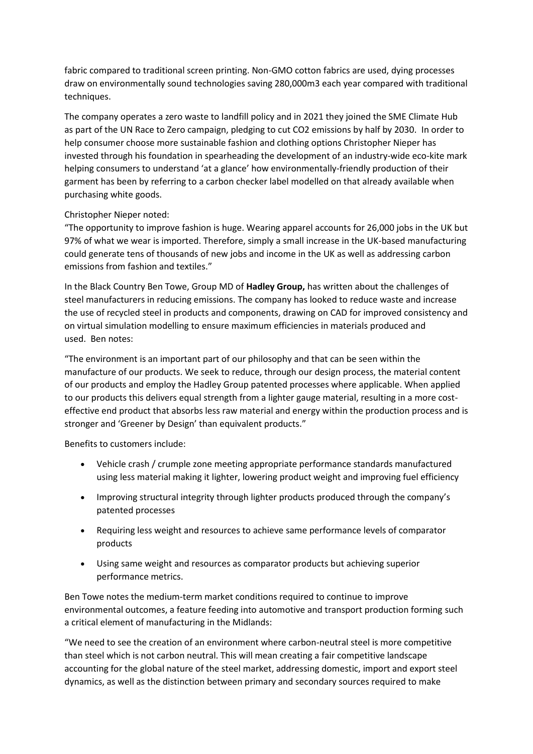fabric compared to traditional screen printing. Non-GMO cotton fabrics are used, dying processes draw on environmentally sound technologies saving 280,000m3 each year compared with traditional techniques.

The company operates a zero waste to landfill policy and in 2021 they joined the SME Climate Hub as part of the UN Race to Zero campaign, pledging to cut CO2 emissions by half by 2030. In order to help consumer choose more sustainable fashion and clothing options Christopher Nieper has invested through his foundation in spearheading the development of an industry-wide eco-kite mark helping consumers to understand 'at a glance' how environmentally-friendly production of their garment has been by referring to a carbon checker label modelled on that already available when purchasing white goods.

## Christopher Nieper noted:

"The opportunity to improve fashion is huge. Wearing apparel accounts for 26,000 jobs in the UK but 97% of what we wear is imported. Therefore, simply a small increase in the UK-based manufacturing could generate tens of thousands of new jobs and income in the UK as well as addressing carbon emissions from fashion and textiles."

In the Black Country Ben Towe, Group MD of **Hadley Group,** has written about the challenges of steel manufacturers in reducing emissions. The company has looked to reduce waste and increase the use of recycled steel in products and components, drawing on CAD for improved consistency and on virtual simulation modelling to ensure maximum efficiencies in materials produced and used. Ben notes:

"The environment is an important part of our philosophy and that can be seen within the manufacture of our products. We seek to reduce, through our design process, the material content of our products and employ the Hadley Group patented processes where applicable. When applied to our products this delivers equal strength from a lighter gauge material, resulting in a more costeffective end product that absorbs less raw material and energy within the production process and is stronger and 'Greener by Design' than equivalent products."

Benefits to customers include:

- Vehicle crash / crumple zone meeting appropriate performance standards manufactured using less material making it lighter, lowering product weight and improving fuel efficiency
- Improving structural integrity through lighter products produced through the company's patented processes
- Requiring less weight and resources to achieve same performance levels of comparator products
- Using same weight and resources as comparator products but achieving superior performance metrics.

Ben Towe notes the medium-term market conditions required to continue to improve environmental outcomes, a feature feeding into automotive and transport production forming such a critical element of manufacturing in the Midlands:

"We need to see the creation of an environment where carbon-neutral steel is more competitive than steel which is not carbon neutral. This will mean creating a fair competitive landscape accounting for the global nature of the steel market, addressing domestic, import and export steel dynamics, as well as the distinction between primary and secondary sources required to make